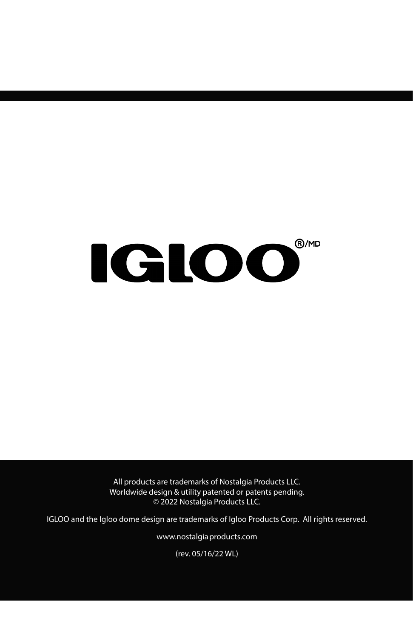# **IGLOO**®

All products are trademarks of Nostalgia Products LLC. Worldwide design & utility patented or patents pending. © 2022 Nostalgia Products LLC.

IGLOO and the Igloo dome design are trademarks of Igloo Products Corp. All rights reserved.

www.nostalgia products.com

(rev. 05/16/22 WL)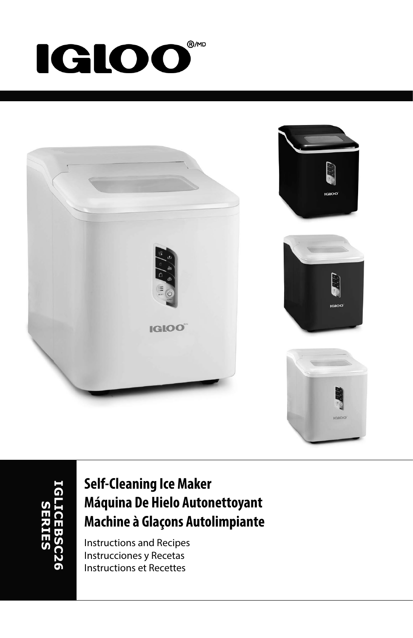### ®/MD **IGLOO**



### **Self-Cleaning Ice Maker Máquina De Hielo Autonettoyant Machine à Glaçons Autolimpiante**

Instructions and Recipes Instrucciones y Recetas Instructions et Recettes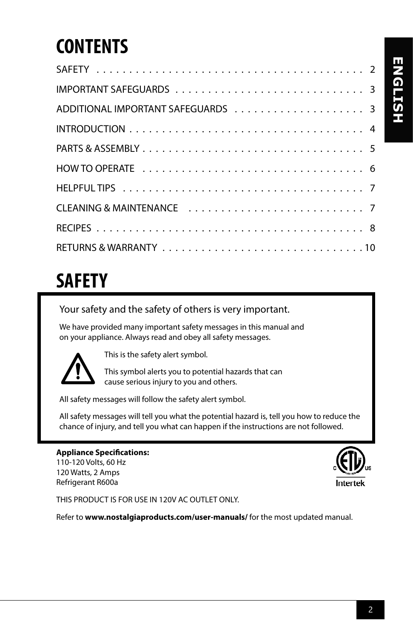### **CONTENTS**

### **SAFETY**

Your safety and the safety of others is very important.

We have provided many important safety messages in this manual and on your appliance. Always read and obey all safety messages.



This is the safety alert symbol.

This symbol alerts you to potential hazards that can cause serious injury to you and others.

All safety messages will follow the safety alert symbol.

All safety messages will tell you what the potential hazard is, tell you how to reduce the chance of injury, and tell you what can happen if the instructions are not followed.

**Appliance Specifications:** 110-120 Volts, 60 Hz 120 Watts, 2 Amps Refrigerant R600a



THIS PRODUCT IS FOR USE IN 120V AC OUTLET ONLY.

Refer to **www.nostalgiaproducts.com/user-manuals/** for the most updated manual.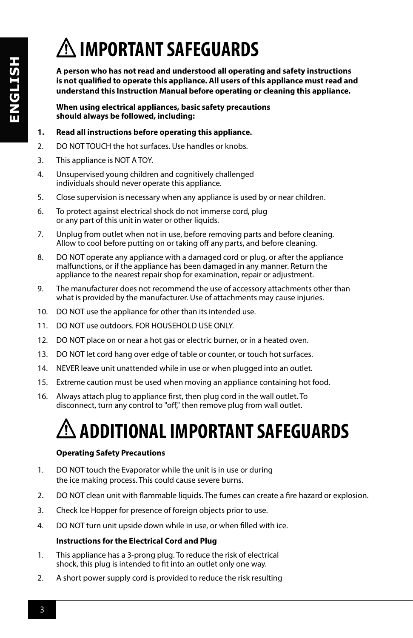# **IMPORTANT SAFEGUARDS**

**A person who has not read and understood all operating and safety instructions is not qualified to operate this appliance. All users of this appliance must read and understand this Instruction Manual before operating or cleaning this appliance.**

**When using electrical appliances, basic safety precautions should always be followed, including:**

#### **1. Read all instructions before operating this appliance.**

- 2. DO NOT TOUCH the hot surfaces. Use handles or knobs.
- 3. This appliance is NOT A TOY.
- 4. Unsupervised young children and cognitively challenged individuals should never operate this appliance.
- 5. Close supervision is necessary when any appliance is used by or near children.
- 6. To protect against electrical shock do not immerse cord, plug or any part of this unit in water or other liquids.
- 7. Unplug from outlet when not in use, before removing parts and before cleaning. Allow to cool before putting on or taking off any parts, and before cleaning.
- 8. DO NOT operate any appliance with a damaged cord or plug, or after the appliance malfunctions, or if the appliance has been damaged in any manner. Return the appliance to the nearest repair shop for examination, repair or adjustment.
- 9. The manufacturer does not recommend the use of accessory attachments other than what is provided by the manufacturer. Use of attachments may cause injuries.
- 10. DO NOT use the appliance for other than its intended use.
- 11. DO NOT use outdoors. FOR HOUSEHOLD USE ONLY.
- 12. DO NOT place on or near a hot gas or electric burner, or in a heated oven.
- 13. DO NOT let cord hang over edge of table or counter, or touch hot surfaces.
- 14. NEVER leave unit unattended while in use or when plugged into an outlet.
- 15. Extreme caution must be used when moving an appliance containing hot food.
- 16. Always attach plug to appliance first, then plug cord in the wall outlet. To disconnect, turn any control to "off," then remove plug from wall outlet.

## **ADDITIONAL IMPORTANT SAFEGUARDS**

#### **Operating Safety Precautions**

- 1. DO NOT touch the Evaporator while the unit is in use or during the ice making process. This could cause severe burns.
- 2. DO NOT clean unit with flammable liquids. The fumes can create a fire hazard or explosion.
- 3. Check Ice Hopper for presence of foreign objects prior to use.
- 4. DO NOT turn unit upside down while in use, or when filled with ice.

#### **Instructions for the Electrical Cord and Plug**

- 1. This appliance has a 3-prong plug. To reduce the risk of electrical shock, this plug is intended to fit into an outlet only one way.
- 2. A short power supply cord is provided to reduce the risk resulting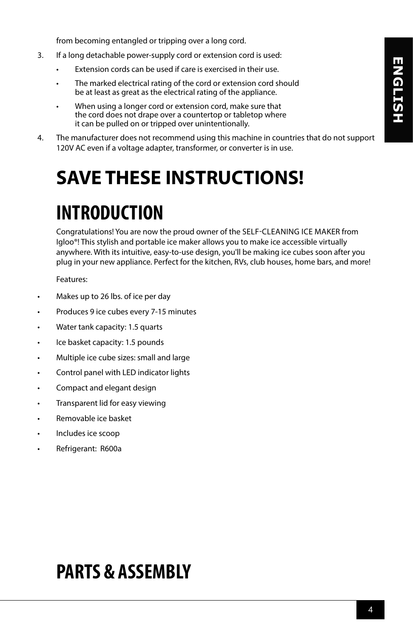from becoming entangled or tripping over a long cord.

- 3. If a long detachable power-supply cord or extension cord is used:
	- Extension cords can be used if care is exercised in their use.
	- The marked electrical rating of the cord or extension cord should be at least as great as the electrical rating of the appliance.
	- When using a longer cord or extension cord, make sure that the cord does not drape over a countertop or tabletop where it can be pulled on or tripped over unintentionally.
- 4. The manufacturer does not recommend using this machine in countries that do not support 120V AC even if a voltage adapter, transformer, or converter is in use.

### **SAVE THESE INSTRUCTIONS!**

### **INTRODUCTION**

Congratulations! You are now the proud owner of the SELF-CLEANING ICE MAKER from Igloo®! This stylish and portable ice maker allows you to make ice accessible virtually anywhere. With its intuitive, easy-to-use design, you'll be making ice cubes soon after you plug in your new appliance. Perfect for the kitchen, RVs, club houses, home bars, and more!

Features:

- Makes up to 26 lbs. of ice per day
- Produces 9 ice cubes every 7-15 minutes
- Water tank capacity: 1.5 quarts
- Ice basket capacity: 1.5 pounds
- Multiple ice cube sizes: small and large
- Control panel with LED indicator lights
- Compact and elegant design
- Transparent lid for easy viewing
- Removable ice basket
- Includes ice scoop
- Refrigerant: R600a

### **PARTS & ASSEMBLY**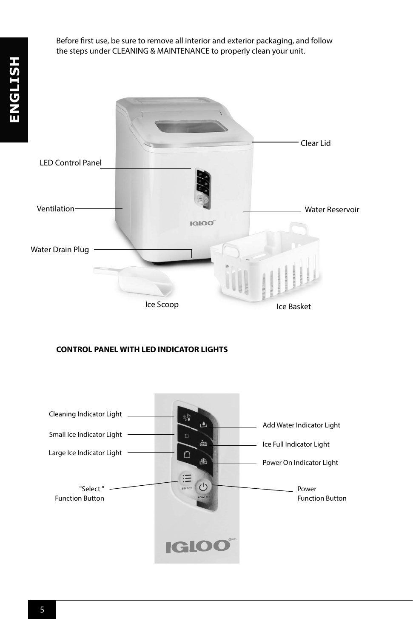Before first use, be sure to remove all interior and exterior packaging, and follow the steps under CLEANING & MAINTENANCE to properly clean your unit.



#### **CONTROL PANEL WITH LED INDICATOR LIGHTS**

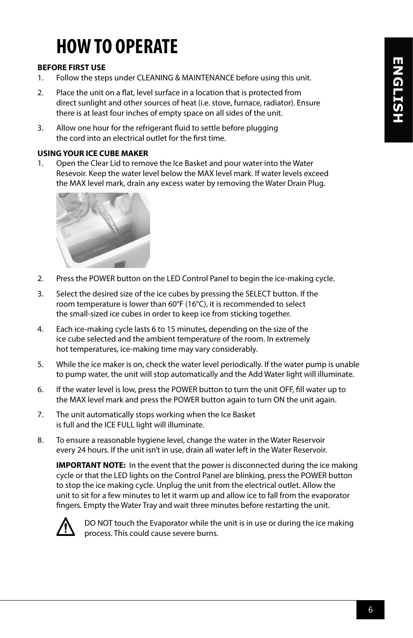### **HOW TO OPERATE**

#### **BEFORE FIRST USE**

- 1. Follow the steps under CLEANING & MAINTENANCE before using this unit.
- 2. Place the unit on a flat, level surface in a location that is protected from direct sunlight and other sources of heat (i.e. stove, furnace, radiator). Ensure there is at least four inches of empty space on all sides of the unit.
- 3. Allow one hour for the refrigerant fluid to settle before plugging the cord into an electrical outlet for the first time.

#### **USING YOUR ICE CUBE MAKER**

1. Open the Clear Lid to remove the Ice Basket and pour water into the Water Resevoir. Keep the water level below the MAX level mark. If water levels exceed the MAX level mark, drain any excess water by removing the Water Drain Plug.



- 2. Press the POWER button on the LED Control Panel to begin the ice-making cycle.
- 3. Select the desired size of the ice cubes by pressing the SELECT button. If the room temperature is lower than 60°F (16°C), it is recommended to select the small-sized ice cubes in order to keep ice from sticking together.
- 4. Each ice-making cycle lasts 6 to 15 minutes, depending on the size of the ice cube selected and the ambient temperature of the room. In extremely hot temperatures, ice-making time may vary considerably.
- 5. While the ice maker is on, check the water level periodically. If the water pump is unable to pump water, the unit will stop automatically and the Add Water light will illuminate.
- 6. If the water level is low, press the POWER button to turn the unit OFF, fill water up to the MAX level mark and press the POWER button again to turn ON the unit again.
- 7. The unit automatically stops working when the Ice Basket is full and the ICE FULL light will illuminate.
- 8. To ensure a reasonable hygiene level, change the water in the Water Reservoir every 24 hours. If the unit isn't in use, drain all water left in the Water Reservoir.

**IMPORTANT NOTE:** In the event that the power is disconnected during the ice making cycle or that the LED lights on the Control Panel are blinking, press the POWER button to stop the ice making cycle. Unplug the unit from the electrical outlet. Allow the unit to sit for a few minutes to let it warm up and allow ice to fall from the evaporator fingers. Empty the Water Tray and wait three minutes before restarting the unit.



DO NOT touch the Evaporator while the unit is in use or during the ice making process. This could cause severe burns.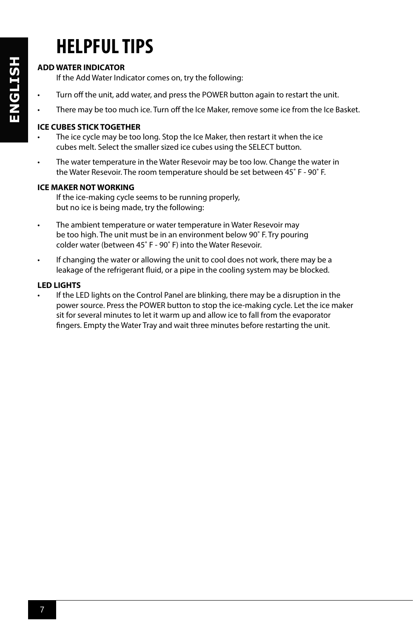### **HELPFUL TIPS**

#### **ADD WATER INDICATOR**

If the Add Water Indicator comes on, try the following:

- Turn off the unit, add water, and press the POWER button again to restart the unit.
- There may be too much ice. Turn off the Ice Maker, remove some ice from the Ice Basket.

#### **ICE CUBES STICK TOGETHER**

- The ice cycle may be too long. Stop the Ice Maker, then restart it when the ice cubes melt. Select the smaller sized ice cubes using the SELECT button.
- The water temperature in the Water Resevoir may be too low. Change the water in the Water Resevoir. The room temperature should be set between 45˚ F - 90˚ F.

#### **ICE MAKER NOT WORKING**

If the ice-making cycle seems to be running properly, but no ice is being made, try the following:

- The ambient temperature or water temperature in Water Resevoir may be too high. The unit must be in an environment below 90˚ F. Try pouring colder water (between 45˚ F - 90˚ F) into the Water Resevoir.
- If changing the water or allowing the unit to cool does not work, there may be a leakage of the refrigerant fluid, or a pipe in the cooling system may be blocked.

#### **LED LIGHTS**

If the LED lights on the Control Panel are blinking, there may be a disruption in the power source. Press the POWER button to stop the ice-making cycle. Let the ice maker sit for several minutes to let it warm up and allow ice to fall from the evaporator fingers. Empty the Water Tray and wait three minutes before restarting the unit.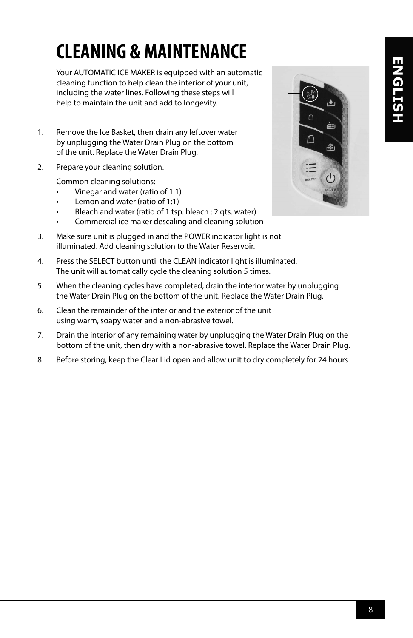### **CLEANING & MAINTENANCE**

Your AUTOMATIC ICE MAKER is equipped with an automatic cleaning function to help clean the interior of your unit, including the water lines. Following these steps will help to maintain the unit and add to longevity.

- 1. Remove the Ice Basket, then drain any leftover water by unplugging the Water Drain Plug on the bottom of the unit. Replace the Water Drain Plug.
- 2. Prepare your cleaning solution.

Common cleaning solutions:

- Vinegar and water (ratio of 1:1)
- Lemon and water (ratio of 1:1)
- Bleach and water (ratio of 1 tsp. bleach : 2 qts. water)
- Commercial ice maker descaling and cleaning solution
- 3. Make sure unit is plugged in and the POWER indicator light is not illuminated. Add cleaning solution to the Water Reservoir.
- 4. Press the SELECT button until the CLEAN indicator light is illuminated. The unit will automatically cycle the cleaning solution 5 times.
- 5. When the cleaning cycles have completed, drain the interior water by unplugging the Water Drain Plug on the bottom of the unit. Replace the Water Drain Plug.
- 6. Clean the remainder of the interior and the exterior of the unit using warm, soapy water and a non-abrasive towel.
- 7. Drain the interior of any remaining water by unplugging the Water Drain Plug on the bottom of the unit, then dry with a non-abrasive towel. Replace the Water Drain Plug.
- 8. Before storing, keep the Clear Lid open and allow unit to dry completely for 24 hours.

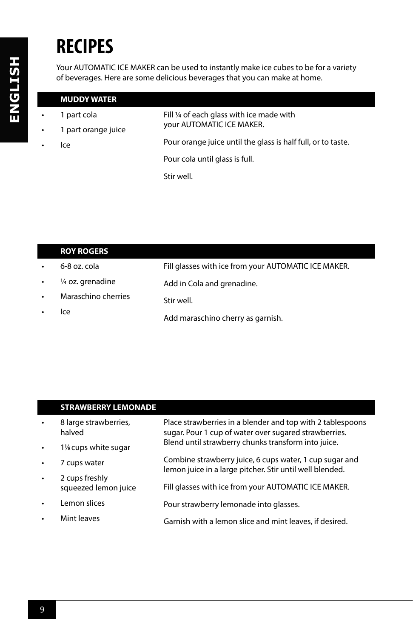### **RECIPES**

Your AUTOMATIC ICE MAKER can be used to instantly make ice cubes to be for a variety of beverages. Here are some delicious beverages that you can make at home.

#### **MUDDY WATER**

• 1 part cola • 1 part orange juice • Ice Fill 1/4 of each glass with ice made with your AUTOMATIC ICE MAKER. Pour orange juice until the glass is half full, or to taste. Pour cola until glass is full. Stir well.

|           | <b>ROY ROGERS</b>   |                                                      |
|-----------|---------------------|------------------------------------------------------|
| $\bullet$ | 6-8 oz. cola        | Fill glasses with ice from your AUTOMATIC ICE MAKER. |
| $\bullet$ | 1/4 oz. grenadine   | Add in Cola and grenadine.                           |
| $\bullet$ | Maraschino cherries | Stir well.                                           |
|           | Ice                 | Add maraschino cherry as garnish.                    |

#### **STRAWBERRY LEMONADE**

| $\bullet$ | 8 large strawberries,<br>halved        | Place strawberries in a blender and top with 2 tablespoons<br>sugar. Pour 1 cup of water over sugared strawberries. |
|-----------|----------------------------------------|---------------------------------------------------------------------------------------------------------------------|
|           | 1 <sup>/8</sup> cups white sugar       | Blend until strawberry chunks transform into juice.                                                                 |
|           | 7 cups water                           | Combine strawberry juice, 6 cups water, 1 cup sugar and<br>lemon juice in a large pitcher. Stir until well blended. |
|           | 2 cups freshly<br>squeezed lemon juice | Fill glasses with ice from your AUTOMATIC ICE MAKER.                                                                |
|           |                                        |                                                                                                                     |
| $\bullet$ | Lemon slices                           | Pour strawberry lemonade into glasses.                                                                              |
|           | Mint leaves                            | Garnish with a lemon slice and mint leaves, if desired.                                                             |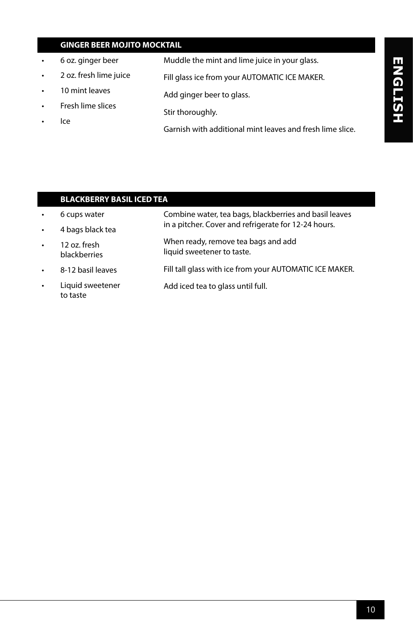#### **GINGER BEER MOJITO MOCKTAIL**

- 6 oz. ginger beer
- 2 oz. fresh lime juice Fill glass ice from your AUTOMATIC ICE MAKER.

Stir thoroughly.

Add ginger beer to glass.

- 10 mint leaves
- Fresh lime slices
- Ice

Garnish with additional mint leaves and fresh lime slice.

Muddle the mint and lime juice in your glass.

# ENGLISH **ENGLISH**

|           | <b>BLACKBERRY BASIL ICED TEA</b> |                                                                   |  |
|-----------|----------------------------------|-------------------------------------------------------------------|--|
|           | 6 cups water                     | Combine water, tea bags, blackberries and basil leaves            |  |
| $\bullet$ | 4 bags black tea                 | in a pitcher. Cover and refrigerate for 12-24 hours.              |  |
| $\bullet$ | 12 oz. fresh<br>blackberries     | When ready, remove tea bags and add<br>liquid sweetener to taste. |  |
| $\bullet$ | 8-12 basil leaves                | Fill tall glass with ice from your AUTOMATIC ICE MAKER.           |  |
| $\bullet$ | Liquid sweetener<br>to taste     | Add iced tea to glass until full.                                 |  |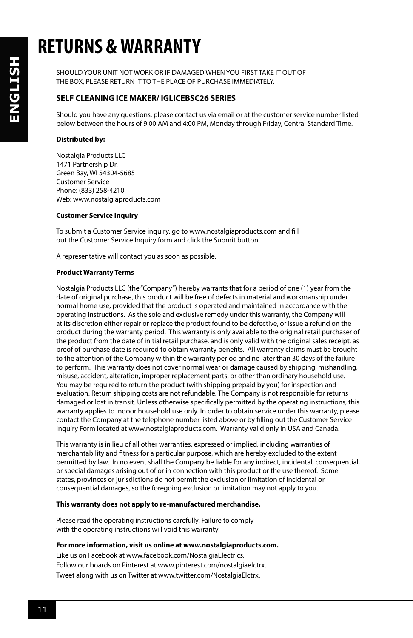### **RETURNS & WARRANTY**

SHOULD YOUR UNIT NOT WORK OR IF DAMAGED WHEN YOU FIRST TAKE IT OUT OF THE BOX, PLEASE RETURN IT TO THE PLACE OF PURCHASE IMMEDIATELY.

#### **SELF CLEANING ICE MAKER/ IGLICEBSC26 SERIES**

Should you have any questions, please contact us via email or at the customer service number listed below between the hours of 9:00 AM and 4:00 PM, Monday through Friday, Central Standard Time.

#### **Distributed by:**

Nostalgia Products LLC 1471 Partnership Dr. Green Bay, WI 54304-5685 Customer Service Phone: (833) 258-4210 Web: www.nostalgiaproducts.com

#### **Customer Service Inquiry**

To submit a Customer Service inquiry, go to www.nostalgiaproducts.com and fill out the Customer Service Inquiry form and click the Submit button.

A representative will contact you as soon as possible.

#### **Product Warranty Terms**

Nostalgia Products LLC (the "Company") hereby warrants that for a period of one (1) year from the date of original purchase, this product will be free of defects in material and workmanship under normal home use, provided that the product is operated and maintained in accordance with the operating instructions. As the sole and exclusive remedy under this warranty, the Company will at its discretion either repair or replace the product found to be defective, or issue a refund on the product during the warranty period. This warranty is only available to the original retail purchaser of the product from the date of initial retail purchase, and is only valid with the original sales receipt, as proof of purchase date is required to obtain warranty benefits. All warranty claims must be brought to the attention of the Company within the warranty period and no later than 30 days of the failure to perform. This warranty does not cover normal wear or damage caused by shipping, mishandling, misuse, accident, alteration, improper replacement parts, or other than ordinary household use. You may be required to return the product (with shipping prepaid by you) for inspection and evaluation. Return shipping costs are not refundable. The Company is not responsible for returns damaged or lost in transit. Unless otherwise specifically permitted by the operating instructions, this warranty applies to indoor household use only. In order to obtain service under this warranty, please contact the Company at the telephone number listed above or by filling out the Customer Service Inquiry Form located at www.nostalgiaproducts.com. Warranty valid only in USA and Canada.

This warranty is in lieu of all other warranties, expressed or implied, including warranties of merchantability and fitness for a particular purpose, which are hereby excluded to the extent permitted by law. In no event shall the Company be liable for any indirect, incidental, consequential, or special damages arising out of or in connection with this product or the use thereof. Some states, provinces or jurisdictions do not permit the exclusion or limitation of incidental or consequential damages, so the foregoing exclusion or limitation may not apply to you.

#### **This warranty does not apply to re-manufactured merchandise.**

Please read the operating instructions carefully. Failure to comply with the operating instructions will void this warranty.

**For more information, visit us online at www.nostalgiaproducts.com.**

Like us on Facebook at www.facebook.com/NostalgiaElectrics. Follow our boards on Pinterest at www.pinterest.com/nostalgiaelctrx. Tweet along with us on Twitter at www.twitter.com/NostalgiaElctrx.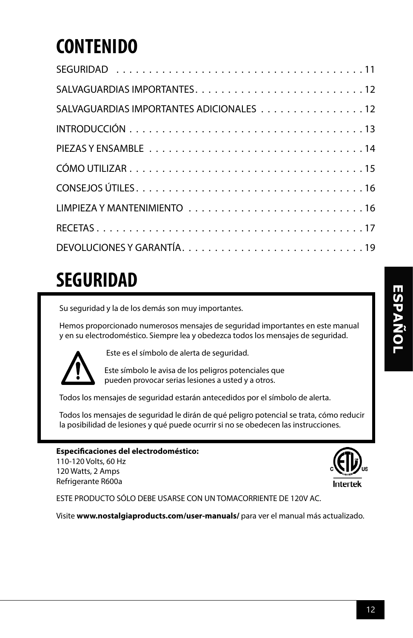### **CONTENIDO**

| SALVAGUARDIAS IMPORTANTES ADICIONALES 12 |
|------------------------------------------|
|                                          |
|                                          |
|                                          |
|                                          |
|                                          |
|                                          |
|                                          |

### **SEGURIDAD**

Su seguridad y la de los demás son muy importantes.

Hemos proporcionado numerosos mensajes de seguridad importantes en este manual y en su electrodoméstico. Siempre lea y obedezca todos los mensajes de seguridad.



Este es el símbolo de alerta de seguridad.

Este símbolo le avisa de los peligros potenciales que pueden provocar serias lesiones a usted y a otros.

Todos los mensajes de seguridad estarán antecedidos por el símbolo de alerta.

Todos los mensajes de seguridad le dirán de qué peligro potencial se trata, cómo reducir la posibilidad de lesiones y qué puede ocurrir si no se obedecen las instrucciones.

#### **Especificaciones del electrodoméstico:** 110-120 Volts, 60 Hz

120 Watts, 2 Amps Refrigerante R600a



ESTE PRODUCTO SÓLO DEBE USARSE CON UN TOMACORRIENTE DE 120V AC.

Visite **www.nostalgiaproducts.com/user-manuals/** para ver el manual más actualizado.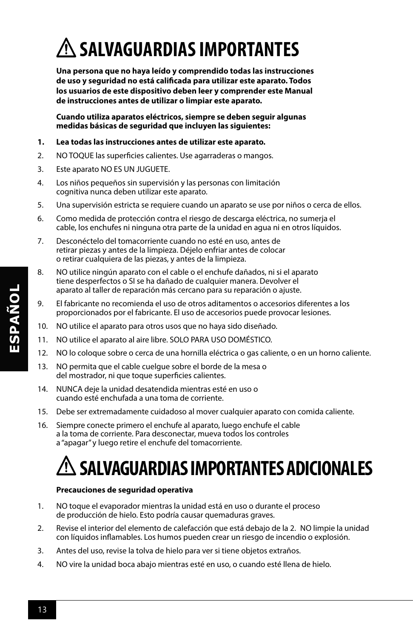# **SALVAGUARDIAS IMPORTANTES**

**Una persona que no haya leído y comprendido todas las instrucciones de uso y seguridad no está calificada para utilizar este aparato. Todos los usuarios de este dispositivo deben leer y comprender este Manual de instrucciones antes de utilizar o limpiar este aparato.**

**Cuando utiliza aparatos eléctricos, siempre se deben seguir algunas medidas básicas de seguridad que incluyen las siguientes:**

#### **1. Lea todas las instrucciones antes de utilizar este aparato.**

- 2. NO TOQUE las superficies calientes. Use agarraderas o mangos.
- 3. Este aparato NO ES UN JUGUETE.
- 4. Los niños pequeños sin supervisión y las personas con limitación cognitiva nunca deben utilizar este aparato.
- 5. Una supervisión estricta se requiere cuando un aparato se use por niños o cerca de ellos.
- 6. Como medida de protección contra el riesgo de descarga eléctrica, no sumerja el cable, los enchufes ni ninguna otra parte de la unidad en agua ni en otros líquidos.
- 7. Desconéctelo del tomacorriente cuando no esté en uso, antes de retirar piezas y antes de la limpieza. Déjelo enfriar antes de colocar o retirar cualquiera de las piezas, y antes de la limpieza.
- 8. NO utilice ningún aparato con el cable o el enchufe dañados, ni si el aparato tiene desperfectos o SI se ha dañado de cualquier manera. Devolver el aparato al taller de reparación más cercano para su reparación o ajuste.
- 9. El fabricante no recomienda el uso de otros aditamentos o accesorios diferentes a los proporcionados por el fabricante. El uso de accesorios puede provocar lesiones.
- 10. NO utilice el aparato para otros usos que no haya sido diseñado.
- 11. NO utilice el aparato al aire libre. SOLO PARA USO DOMÉSTICO.
- 12. NO lo coloque sobre o cerca de una hornilla eléctrica o gas caliente, o en un horno caliente.
- 13. NO permita que el cable cuelgue sobre el borde de la mesa o del mostrador, ni que toque superficies calientes.
- 14. NUNCA deje la unidad desatendida mientras esté en uso o cuando esté enchufada a una toma de corriente.
- 15. Debe ser extremadamente cuidadoso al mover cualquier aparato con comida caliente.
- 16. Siempre conecte primero el enchufe al aparato, luego enchufe el cable a la toma de corriente. Para desconectar, mueva todos los controles a "apagar" y luego retire el enchufe del tomacorriente.

### **SALVAGUARDIAS IMPORTANTES ADICIONALES**

#### **Precauciones de seguridad operativa**

- 1. NO toque el evaporador mientras la unidad está en uso o durante el proceso de producción de hielo. Esto podría causar quemaduras graves.
- 2. Revise el interior del elemento de calefacción que está debajo de la 2. NO limpie la unidad con líquidos inflamables. Los humos pueden crear un riesgo de incendio o explosión.
- 3. Antes del uso, revise la tolva de hielo para ver si tiene objetos extraños.
- 4. NO vire la unidad boca abajo mientras esté en uso, o cuando esté llena de hielo.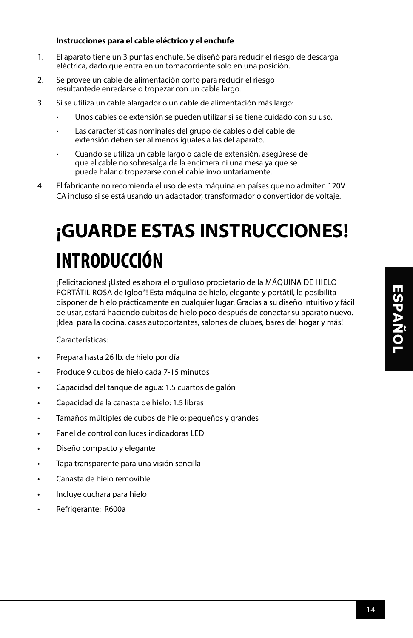#### **Instrucciones para el cable eléctrico y el enchufe**

- 1. El aparato tiene un 3 puntas enchufe. Se diseñó para reducir el riesgo de descarga eléctrica, dado que entra en un tomacorriente solo en una posición.
- 2. Se provee un cable de alimentación corto para reducir el riesgo resultantede enredarse o tropezar con un cable largo.
- 3. Si se utiliza un cable alargador o un cable de alimentación más largo:
	- Unos cables de extensión se pueden utilizar si se tiene cuidado con su uso.
	- Las características nominales del grupo de cables o del cable de extensión deben ser al menos iguales a las del aparato.
	- Cuando se utiliza un cable largo o cable de extensión, asegúrese de que el cable no sobresalga de la encimera ni una mesa ya que se puede halar o tropezarse con el cable involuntariamente.
- 4. El fabricante no recomienda el uso de esta máquina en países que no admiten 120V CA incluso si se está usando un adaptador, transformador o convertidor de voltaje.

# **¡GUARDE ESTAS INSTRUCCIONES! INTRODUCCIÓN**

¡Felicitaciones! ¡Usted es ahora el orgulloso propietario de la MÁQUINA DE HIELO PORTÁTIL ROSA de Igloo®! Esta máquina de hielo, elegante y portátil, le posibilita disponer de hielo prácticamente en cualquier lugar. Gracias a su diseño intuitivo y fácil de usar, estará haciendo cubitos de hielo poco después de conectar su aparato nuevo. ¡Ideal para la cocina, casas autoportantes, salones de clubes, bares del hogar y más!

Características:

- Prepara hasta 26 lb. de hielo por día
- Produce 9 cubos de hielo cada 7-15 minutos
- Capacidad del tanque de agua: 1.5 cuartos de galón
- Capacidad de la canasta de hielo: 1.5 libras
- Tamaños múltiples de cubos de hielo: pequeños y grandes
- Panel de control con luces indicadoras LED
- Diseño compacto y elegante
- Tapa transparente para una visión sencilla
- Canasta de hielo removible
- Incluye cuchara para hielo
- Refrigerante: R600a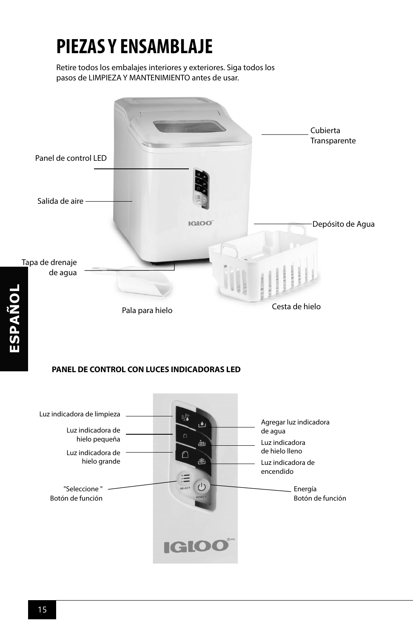### **PIEZAS Y ENSAMBLAJE**

Retire todos los embalajes interiores y exteriores. Siga todos los pasos de LIMPIEZA Y MANTENIMIENTO antes de usar.



#### **PANEL DE CONTROL CON LUCES INDICADORAS LED**

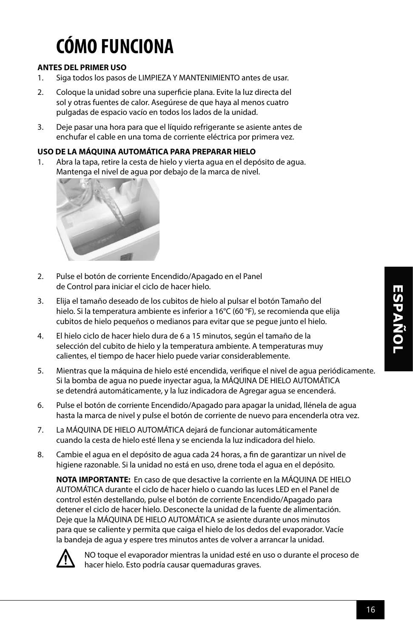# **CÓMO FUNCIONA**

#### **ANTES DEL PRIMER USO**

- 1. Siga todos los pasos de LIMPIEZA Y MANTENIMIENTO antes de usar.
- 2. Coloque la unidad sobre una superficie plana. Evite la luz directa del sol y otras fuentes de calor. Asegúrese de que haya al menos cuatro pulgadas de espacio vacío en todos los lados de la unidad.
- 3. Deje pasar una hora para que el líquido refrigerante se asiente antes de enchufar el cable en una toma de corriente eléctrica por primera vez.

#### **USO DE LA MÁQUINA AUTOMÁTICA PARA PREPARAR HIELO**

1. Abra la tapa, retire la cesta de hielo y vierta agua en el depósito de agua. Mantenga el nivel de agua por debajo de la marca de nivel.



- 2. Pulse el botón de corriente Encendido/Apagado en el Panel de Control para iniciar el ciclo de hacer hielo.
- 3. Elija el tamaño deseado de los cubitos de hielo al pulsar el botón Tamaño del hielo. Si la temperatura ambiente es inferior a 16°C (60 °F), se recomienda que elija cubitos de hielo pequeños o medianos para evitar que se pegue junto el hielo.
- 4. El hielo ciclo de hacer hielo dura de 6 a 15 minutos, según el tamaño de la selección del cubito de hielo y la temperatura ambiente. A temperaturas muy calientes, el tiempo de hacer hielo puede variar considerablemente.
- 5. Mientras que la máquina de hielo esté encendida, verifique el nivel de agua periódicamente. Si la bomba de agua no puede inyectar agua, la MÁQUINA DE HIELO AUTOMÁTICA se detendrá automáticamente, y la luz indicadora de Agregar agua se encenderá.
- 6. Pulse el botón de corriente Encendido/Apagado para apagar la unidad, llénela de agua hasta la marca de nivel y pulse el botón de corriente de nuevo para encenderla otra vez.
- 7. La MÁQUINA DE HIELO AUTOMÁTICA dejará de funcionar automáticamente cuando la cesta de hielo esté llena y se encienda la luz indicadora del hielo.
- 8. Cambie el agua en el depósito de agua cada 24 horas, a fin de garantizar un nivel de higiene razonable. Si la unidad no está en uso, drene toda el agua en el depósito.

**NOTA IMPORTANTE:** En caso de que desactive la corriente en la MÁQUINA DE HIELO AUTOMÁTICA durante el ciclo de hacer hielo o cuando las luces LED en el Panel de control estén destellando, pulse el botón de corriente Encendido/Apagado para detener el ciclo de hacer hielo. Desconecte la unidad de la fuente de alimentación. Deje que la MÁQUINA DE HIELO AUTOMÁTICA se asiente durante unos minutos para que se caliente y permita que caiga el hielo de los dedos del evaporador. Vacíe la bandeja de agua y espere tres minutos antes de volver a arrancar la unidad.



NO toque el evaporador mientras la unidad esté en uso o durante el proceso de hacer hielo. Esto podría causar quemaduras graves.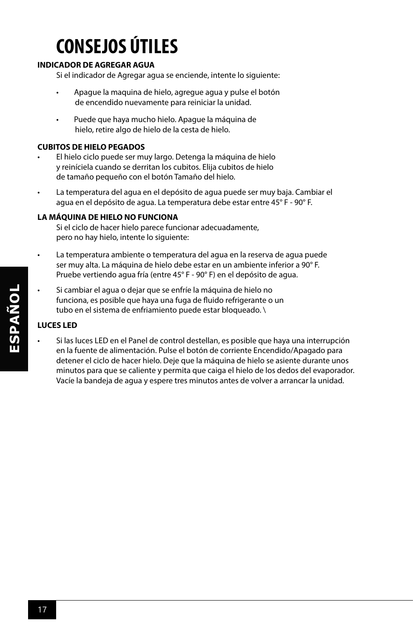# **CONSEJOS ÚTILES**

#### **INDICADOR DE AGREGAR AGUA**

Si el indicador de Agregar agua se enciende, intente lo siguiente:

- Apague la maquina de hielo, agregue agua y pulse el botón de encendido nuevamente para reiniciar la unidad.
- Puede que haya mucho hielo. Apague la máquina de hielo, retire algo de hielo de la cesta de hielo.

#### **CUBITOS DE HIELO PEGADOS**

- El hielo ciclo puede ser muy largo. Detenga la máquina de hielo y reiníciela cuando se derritan los cubitos. Elija cubitos de hielo de tamaño pequeño con el botón Tamaño del hielo.
- La temperatura del agua en el depósito de agua puede ser muy baja. Cambiar el agua en el depósito de agua. La temperatura debe estar entre 45° F - 90° F.

#### **LA MÁQUINA DE HIELO NO FUNCIONA**

Si el ciclo de hacer hielo parece funcionar adecuadamente, pero no hay hielo, intente lo siguiente:

- La temperatura ambiente o temperatura del agua en la reserva de agua puede ser muy alta. La máquina de hielo debe estar en un ambiente inferior a 90° F. Pruebe vertiendo agua fría (entre 45° F - 90° F) en el depósito de agua.
- Si cambiar el agua o dejar que se enfríe la máquina de hielo no funciona, es posible que haya una fuga de fluido refrigerante o un tubo en el sistema de enfriamiento puede estar bloqueado. \

#### **LUCES LED**

• Si las luces LED en el Panel de control destellan, es posible que haya una interrupción en la fuente de alimentación. Pulse el botón de corriente Encendido/Apagado para detener el ciclo de hacer hielo. Deje que la máquina de hielo se asiente durante unos minutos para que se caliente y permita que caiga el hielo de los dedos del evaporador. Vacíe la bandeja de agua y espere tres minutos antes de volver a arrancar la unidad.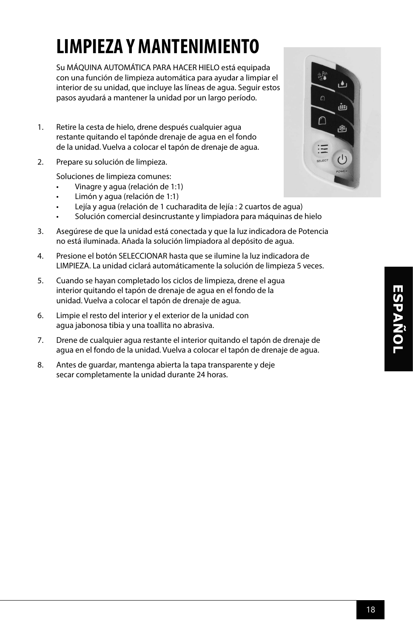# **LIMPIEZA Y MANTENIMIENTO**

Su MÁQUINA AUTOMÁTICA PARA HACER HIELO está equipada con una función de limpieza automática para ayudar a limpiar el interior de su unidad, que incluye las líneas de agua. Seguir estos pasos ayudará a mantener la unidad por un largo período.

- 1. Retire la cesta de hielo, drene después cualquier agua restante quitando el tapónde drenaje de agua en el fondo de la unidad. Vuelva a colocar el tapón de drenaje de agua.
- 2. Prepare su solución de limpieza.

Soluciones de limpieza comunes:

- Vinagre y agua (relación de 1:1)
- Limón y agua (relación de 1:1)
- Lejía y agua (relación de 1 cucharadita de lejía : 2 cuartos de agua)
- Solución comercial desincrustante y limpiadora para máquinas de hielo
- 3. Asegúrese de que la unidad está conectada y que la luz indicadora de Potencia no está iluminada. Añada la solución limpiadora al depósito de agua.
- 4. Presione el botón SELECCIONAR hasta que se ilumine la luz indicadora de LIMPIEZA. La unidad ciclará automáticamente la solución de limpieza 5 veces.
- 5. Cuando se hayan completado los ciclos de limpieza, drene el agua interior quitando el tapón de drenaje de agua en el fondo de la unidad. Vuelva a colocar el tapón de drenaje de agua.
- 6. Limpie el resto del interior y el exterior de la unidad con agua jabonosa tibia y una toallita no abrasiva.
- 7. Drene de cualquier agua restante el interior quitando el tapón de drenaje de agua en el fondo de la unidad. Vuelva a colocar el tapón de drenaje de agua.
- 8. Antes de guardar, mantenga abierta la tapa transparente y deje secar completamente la unidad durante 24 horas.

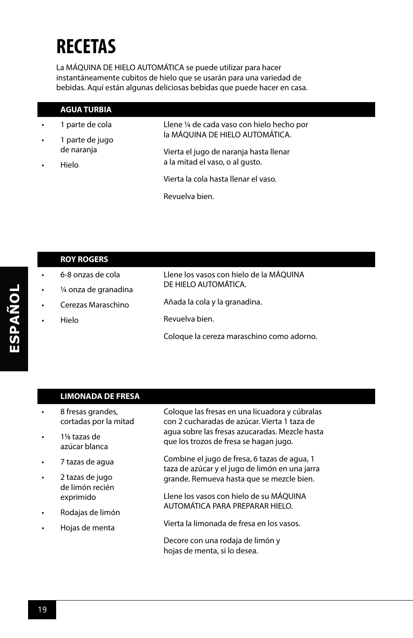### **RECETAS**

La MÁQUINA DE HIELO AUTOMÁTICA se puede utilizar para hacer instantáneamente cubitos de hielo que se usarán para una variedad de bebidas. Aquí están algunas deliciosas bebidas que puede hacer en casa.

|                                          | <b>AGUA TURBIA</b>              |                                            |
|------------------------------------------|---------------------------------|--------------------------------------------|
|                                          | 1 parte de cola                 | Llene 1/4 de cada vaso con hielo hecho por |
| 1 parte de jugo<br>$\bullet$             | la MÁQUINA DE HIELO AUTOMÁTICA. |                                            |
|                                          | de naranja                      | Vierta el jugo de naranja hasta llenar     |
| a la mitad el vaso, o al qusto.<br>Hielo |                                 |                                            |
|                                          |                                 | Vierta la cola hasta llenar el vaso.       |
|                                          |                                 | Revuelva bien.                             |

|           | <b>ROY ROGERS</b>     |                                           |
|-----------|-----------------------|-------------------------------------------|
| ٠         | 6-8 onzas de cola     | Llene los vasos con hielo de la MÁQUINA   |
| ٠         | 1/4 onza de granadina | DE HIELO AUTOMÁTICA.                      |
| $\bullet$ | Cerezas Maraschino    | Añada la cola y la granadina.             |
| ٠         | Hielo                 | Revuelva bien.                            |
|           |                       | Coloque la cereza maraschino como adorno. |

#### **LIMONADA DE FRESA**

- 8 fresas grandes, cortadas por la mitad
- 11/8 tazas de azúcar blanca
- 7 tazas de agua
- 2 tazas de jugo de limón recién exprimido
- Rodajas de limón
- Hojas de menta

Coloque las fresas en una licuadora y cúbralas con 2 cucharadas de azúcar. Vierta 1 taza de agua sobre las fresas azucaradas. Mezcle hasta que los trozos de fresa se hagan jugo.

Combine el jugo de fresa, 6 tazas de agua, 1 taza de azúcar y el jugo de limón en una jarra grande. Remueva hasta que se mezcle bien.

Llene los vasos con hielo de su MÁQUINA AUTOMÁTICA PARA PREPARAR HIELO.

Vierta la limonada de fresa en los vasos.

Decore con una rodaja de limón y hojas de menta, si lo desea.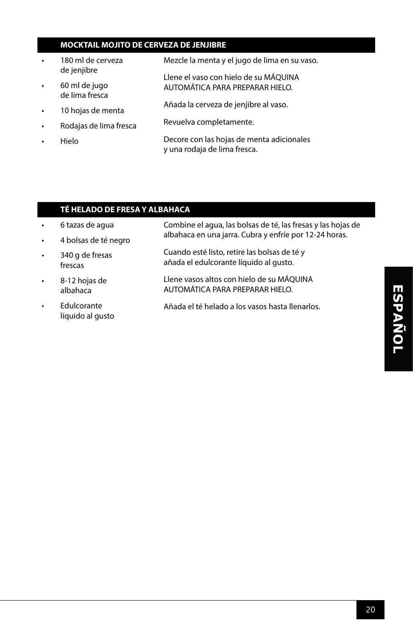#### **MOCKTAIL MOJITO DE CERVEZA DE JENJIBRE**

- 180 ml de cerveza de jenjibre
- 60 ml de jugo de lima fresca
- 10 hojas de menta
- Rodajas de lima fresca
- Hielo

Mezcle la menta y el jugo de lima en su vaso.

Llene el vaso con hielo de su MÁQUINA AUTOMÁTICA PARA PREPARAR HIELO.

- Añada la cerveza de jenjibre al vaso.
- Revuelva completamente.
	- Decore con las hojas de menta adicionales y una rodaja de lima fresca.

#### **TÉ HELADO DE FRESA Y ALBAHACA**

- 6 tazas de agua Combine el agua, las bolsas de té, las fresas y las hojas de albahaca en una jarra. Cubra y enfríe por 12-24 horas.
- 4 bolsas de té negro
- 340 g de fresas frescas Cuando esté listo, retire las bolsas de té y añada el edulcorante líquido al gusto.
- 8-12 hojas de albahaca Llene vasos altos con hielo de su MÁQUINA AUTOMÁTICA PARA PREPARAR HIELO.
	- **Edulcorante** líquido al gusto Añada el té helado a los vasos hasta llenarlos.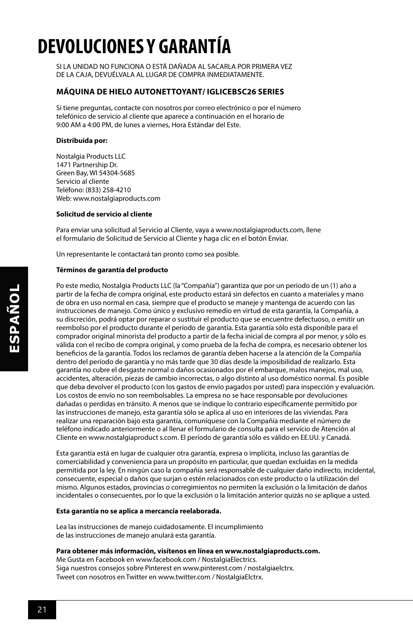### **DEVOLUCIONES Y GARANTÍA**

SI LA UNIDAD NO FUNCIONA O ESTÁ DAÑADA AL SACARLA POR PRIMERA VEZ DE LA CAJA, DEVUÉLVALA AL LUGAR DE COMPRA INMEDIATAMENTE.

#### **MÁQUINA DE HIELO AUTONETTOYANT/ IGLICEBSC26 SERIES**

Si tiene preguntas, contacte con nosotros por correo electrónico o por el número telefónico de servicio al cliente que aparece a continuación en el horario de 9:00 AM a 4:00 PM, de lunes a viernes, Hora Estándar del Este.

#### **Distribuida por:**

Nostalgia Products LLC 1471 Partnership Dr. Green Bay, WI 54304-5685 Servicio al cliente Teléfono: (833) 258-4210 Web: www.nostalgiaproducts.com

#### **Solicitud de servicio al cliente**

Para enviar una solicitud al Servicio al Cliente, vaya a www.nostalgiaproducts.com, llene el formulario de Solicitud de Servicio al Cliente y haga clic en el botón Enviar.

Un representante le contactará tan pronto como sea posible.

#### **Términos de garantía del producto**

Po este medio, Nostalgia Products LLC (la "Compañía") garantiza que por un período de un (1) año a partir de la fecha de compra original, este producto estará sin defectos en cuanto a materiales y mano de obra en uso normal en casa, siempre que el producto se maneje y mantenga de acuerdo con las instrucciones de manejo. Como único y exclusivo remedio en virtud de esta garantía, la Compañía, a su discreción, podrá optar por reparar o sustituir el producto que se encuentre defectuoso, o emitir un reembolso por el producto durante el período de garantía. Esta garantía sólo está disponible para el comprador original minorista del producto a partir de la fecha inicial de compra al por menor, y sólo es válida con el recibo de compra original, y como prueba de la fecha de compra, es necesario obtener los beneficios de la garantía. Todos los reclamos de garantía deben hacerse a la atención de la Compañía dentro del período de garantía y no más tarde que 30 días desde la imposibilidad de realizarlo. Esta garantía no cubre el desgaste normal o daños ocasionados por el embarque, malos manejos, mal uso, accidentes, alteración, piezas de cambio incorrectas, o algo distinto al uso doméstico normal. Es posible que deba devolver el producto (con los gastos de envío pagados por usted) para inspección y evaluación. Los costos de envío no son reembolsables. La empresa no se hace responsable por devoluciones dañadas o perdidas en tránsito. A menos que se indique lo contrario específicamente permitido por las instrucciones de manejo, esta garantía sólo se aplica al uso en interiores de las viviendas. Para realizar una reparación bajo esta garantía, comuníquese con la Compañía mediante el número de teléfono indicado anteriormente o al llenar el formulario de consulta para el servicio de Atención al Cliente en www.nostalgiaproduct s.com. El período de garantía sólo es válido en EE.UU. y Canadá.

Esta garantía está en lugar de cualquier otra garantía, expresa o implícita, incluso las garantías de comerciabilidad y conveniencia para un propósito en particular, que quedan excluidas en la medida permitida por la ley. En ningún caso la compañía será responsable de cualquier daño indirecto, incidental, consecuente, especial o daños que surjan o estén relacionados con este producto o la utilización del mismo. Algunos estados, provincias o corregimientos no permiten la exclusión o la limitación de daños incidentales o consecuentes, por lo que la exclusión o la limitación anterior quizás no se aplique a usted.

#### **Esta garantía no se aplica a mercancía reelaborada.**

Lea las instrucciones de manejo cuidadosamente. El incumplimiento de las instrucciones de manejo anulará esta garantía.

#### **Para obtener más información, visítenos en línea en www.nostalgiaproducts.com.**

Me Gusta en Facebook en www.facebook.com / NostalgiaElectrics. Siga nuestros consejos sobre Pinterest en www.pinterest.com / nostalgiaelctrx. Tweet con nosotros en Twitter en www.twitter.com / NostalgiaElctrx.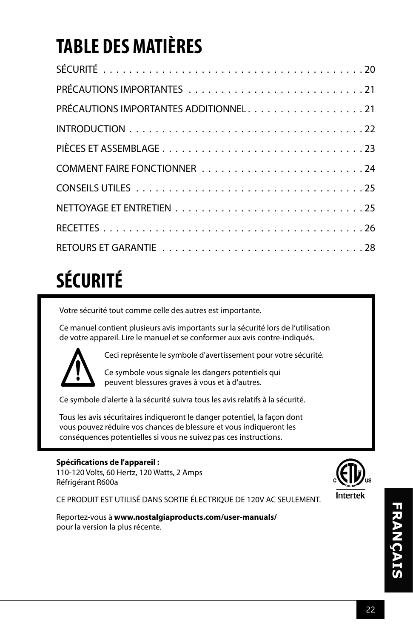# **TABLE DES MATIÈRES**

| PRÉCAUTIONS IMPORTANTES ADDITIONNEL. 21 |
|-----------------------------------------|
|                                         |
|                                         |
|                                         |
|                                         |
|                                         |
|                                         |
|                                         |

# **SÉCURITÉ**

Votre sécurité tout comme celle des autres est importante.

Ce manuel contient plusieurs avis importants sur la sécurité lors de l'utilisation de votre appareil. Lire le manuel et se conformer aux avis contre-indiqués.



Ceci représente le symbole d'avertissement pour votre sécurité.

Ce symbole vous signale les dangers potentiels qui peuvent blessures graves à vous et à d'autres.

Ce symbole d'alerte à la sécurité suivra tous les avis relatifs à la sécurité.

Tous les avis sécuritaires indiqueront le danger potentiel, la façon dont vous pouvez réduire vos chances de blessure et vous indiqueront les conséquences potentielles si vous ne suivez pas ces instructions.

#### **Spécifications de l'appareil :**

110-120 Volts, 60 Hertz, 120 Watts, 2 Amps Réfrigérant R600a



CE PRODUIT EST UTILISÉ DANS SORTIE ÉLECTRIQUE DE 120V AC SEULEMENT.

Reportez-vous à **www.nostalgiaproducts.com/user-manuals/**  pour la version la plus récente.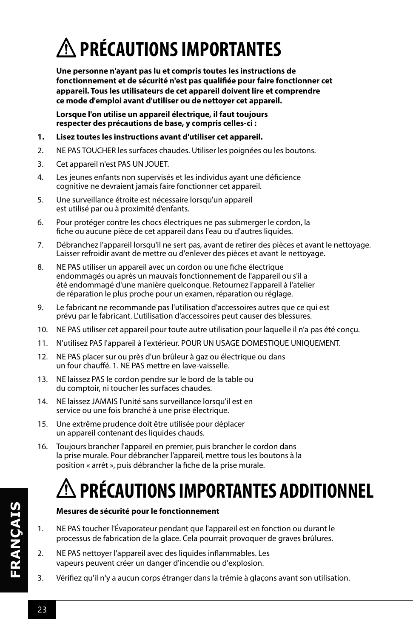# **PRÉCAUTIONS IMPORTANTES**

**Une personne n'ayant pas lu et compris toutes les instructions de fonctionnement et de sécurité n'est pas qualifiée pour faire fonctionner cet appareil. Tous les utilisateurs de cet appareil doivent lire et comprendre ce mode d'emploi avant d'utiliser ou de nettoyer cet appareil.**

**Lorsque l'on utilise un appareil électrique, il faut toujours respecter des précautions de base, y compris celles-ci :**

- **1. Lisez toutes les instructions avant d'utiliser cet appareil.**
- 2. NE PAS TOUCHER les surfaces chaudes. Utiliser les poignées ou les boutons.
- 3. Cet appareil n'est PAS UN JOUET.
- 4. Les jeunes enfants non supervisés et les individus ayant une déficience cognitive ne devraient jamais faire fonctionner cet appareil.
- 5. Une surveillance étroite est nécessaire lorsqu'un appareil est utilisé par ou à proximité d'enfants.
- 6. Pour protéger contre les chocs électriques ne pas submerger le cordon, la fiche ou aucune pièce de cet appareil dans l'eau ou d'autres liquides.
- 7. Débranchez l'appareil lorsqu'il ne sert pas, avant de retirer des pièces et avant le nettoyage. Laisser refroidir avant de mettre ou d'enlever des pièces et avant le nettoyage.
- 8. NE PAS utiliser un appareil avec un cordon ou une fiche électrique endommagés ou après un mauvais fonctionnement de l'appareil ou s'il a été endommagé d'une manière quelconque. Retournez l'appareil à l'atelier de réparation le plus proche pour un examen, réparation ou réglage.
- 9. Le fabricant ne recommande pas l'utilisation d'accessoires autres que ce qui est prévu par le fabricant. L'utilisation d'accessoires peut causer des blessures.
- 10. NE PAS utiliser cet appareil pour toute autre utilisation pour laquelle il n'a pas été conçu.
- 11. N'utilisez PAS l'appareil à l'extérieur. POUR UN USAGE DOMESTIQUE UNIQUEMENT.
- 12. NE PAS placer sur ou près d'un brûleur à gaz ou électrique ou dans un four chauffé. 1. NE PAS mettre en lave-vaisselle.
- 13. NE laissez PAS le cordon pendre sur le bord de la table ou du comptoir, ni toucher les surfaces chaudes.
- 14. NE laissez JAMAIS l'unité sans surveillance lorsqu'il est en service ou une fois branché à une prise électrique.
- 15. Une extrême prudence doit être utilisée pour déplacer un appareil contenant des liquides chauds.
- 16. Toujours brancher l'appareil en premier, puis brancher le cordon dans la prise murale. Pour débrancher l'appareil, mettre tous les boutons à la position « arrêt », puis débrancher la fiche de la prise murale.

## **PRÉCAUTIONS IMPORTANTES ADDITIONNEL**

#### **Mesures de sécurité pour le fonctionnement**

- 1. NE PAS toucher l'Évaporateur pendant que l'appareil est en fonction ou durant le processus de fabrication de la glace. Cela pourrait provoquer de graves brûlures.
- 2. NE PAS nettoyer l'appareil avec des liquides inflammables. Les vapeurs peuvent créer un danger d'incendie ou d'explosion.
- 3. Vérifiez qu'il n'y a aucun corps étranger dans la trémie à glaçons avant son utilisation.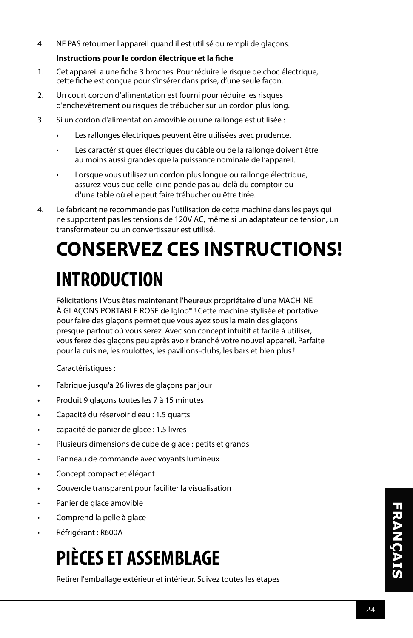4. NE PAS retourner l'appareil quand il est utilisé ou rempli de glaçons.

#### **Instructions pour le cordon électrique et la fiche**

- 1. Cet appareil a une fiche 3 broches. Pour réduire le risque de choc électrique, cette fiche est conçue pour s'insérer dans prise, d'une seule façon.
- 2. Un court cordon d'alimentation est fourni pour réduire les risques d'enchevêtrement ou risques de trébucher sur un cordon plus long.
- 3. Si un cordon d'alimentation amovible ou une rallonge est utilisée :
	- Les rallonges électriques peuvent être utilisées avec prudence.
	- Les caractéristiques électriques du câble ou de la rallonge doivent être au moins aussi grandes que la puissance nominale de l'appareil.
	- Lorsque vous utilisez un cordon plus longue ou rallonge électrique, assurez-vous que celle-ci ne pende pas au-delà du comptoir ou d'une table où elle peut faire trébucher ou être tirée.
- 4. Le fabricant ne recommande pas l'utilisation de cette machine dans les pays qui ne supportent pas les tensions de 120V AC, même si un adaptateur de tension, un transformateur ou un convertisseur est utilisé.

# **CONSERVEZ CES INSTRUCTIONS! INTRODUCTION**

Félicitations ! Vous êtes maintenant l'heureux propriétaire d'une MACHINE À GLAÇONS PORTABLE ROSE de Igloo® ! Cette machine stylisée et portative pour faire des glaçons permet que vous ayez sous la main des glaçons presque partout où vous serez. Avec son concept intuitif et facile à utiliser, vous ferez des glaçons peu après avoir branché votre nouvel appareil. Parfaite pour la cuisine, les roulottes, les pavillons-clubs, les bars et bien plus !

Caractéristiques :

- Fabrique jusqu'à 26 livres de glaçons par jour
- Produit 9 glaçons toutes les 7 à 15 minutes
- Capacité du réservoir d'eau : 1.5 quarts
- capacité de panier de glace : 1.5 livres
- Plusieurs dimensions de cube de glace : petits et grands
- Panneau de commande avec voyants lumineux
- Concept compact et élégant
- Couvercle transparent pour faciliter la visualisation
- Panier de glace amovible
- Comprend la pelle à glace
- Réfrigérant : R600A

### **PIÈCES ET ASSEMBLAGE**

Retirer l'emballage extérieur et intérieur. Suivez toutes les étapes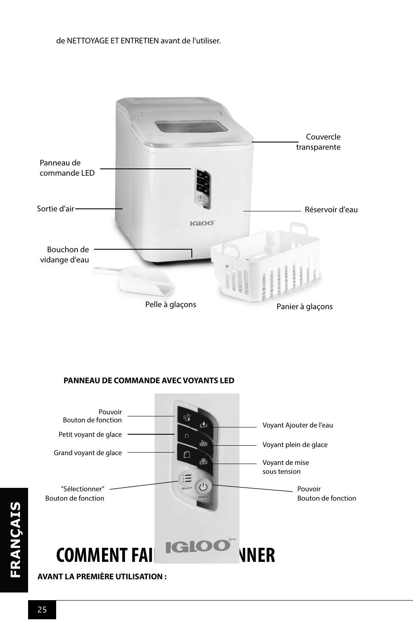#### de NETTOYAGE ET ENTRETIEN avant de l'utiliser.



#### **PANNEAU DE COMMANDE AVEC VOYANTS LED**



**AVANT LA PREMIÈRE UTILISATION :**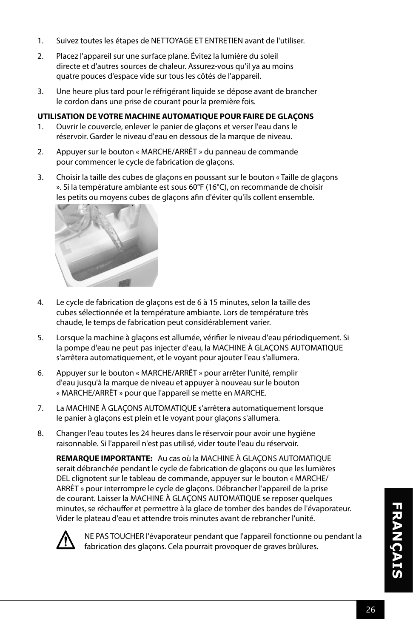- 1. Suivez toutes les étapes de NETTOYAGE ET ENTRETIEN avant de l'utiliser.
- 2. Placez l'appareil sur une surface plane. Évitez la lumière du soleil directe et d'autres sources de chaleur. Assurez-vous qu'il ya au moins quatre pouces d'espace vide sur tous les côtés de l'appareil.
- 3. Une heure plus tard pour le réfrigérant liquide se dépose avant de brancher le cordon dans une prise de courant pour la première fois.

#### **UTILISATION DE VOTRE MACHINE AUTOMATIQUE POUR FAIRE DE GLAÇONS**

- 1. Ouvrir le couvercle, enlever le panier de glaçons et verser l'eau dans le réservoir. Garder le niveau d'eau en dessous de la marque de niveau.
- 2. Appuyer sur le bouton « MARCHE/ARRÊT » du panneau de commande pour commencer le cycle de fabrication de glaçons.
- 3. Choisir la taille des cubes de glaçons en poussant sur le bouton « Taille de glaçons ». Si la température ambiante est sous 60°F (16°C), on recommande de choisir les petits ou moyens cubes de glaçons afin d'éviter qu'ils collent ensemble.



- 4. Le cycle de fabrication de glaçons est de 6 à 15 minutes, selon la taille des cubes sélectionnée et la température ambiante. Lors de température très chaude, le temps de fabrication peut considérablement varier.
- 5. Lorsque la machine à glaçons est allumée, vérifier le niveau d'eau périodiquement. Si la pompe d'eau ne peut pas injecter d'eau, la MACHINE À GLAÇONS AUTOMATIQUE s'arrêtera automatiquement, et le voyant pour ajouter l'eau s'allumera.
- 6. Appuyer sur le bouton « MARCHE/ARRÊT » pour arrêter l'unité, remplir d'eau jusqu'à la marque de niveau et appuyer à nouveau sur le bouton « MARCHE/ARRÊT » pour que l'appareil se mette en MARCHE.
- 7. La MACHINE À GLAÇONS AUTOMATIQUE s'arrêtera automatiquement lorsque le panier à glaçons est plein et le voyant pour glaçons s'allumera.
- 8. Changer l'eau toutes les 24 heures dans le réservoir pour avoir une hygiène raisonnable. Si l'appareil n'est pas utilisé, vider toute l'eau du réservoir.

**REMARQUE IMPORTANTE:** Au cas où la MACHINE À GLAÇONS AUTOMATIQUE serait débranchée pendant le cycle de fabrication de glaçons ou que les lumières DEL clignotent sur le tableau de commande, appuyer sur le bouton « MARCHE/ ARRÊT » pour interrompre le cycle de glaçons. Débrancher l'appareil de la prise de courant. Laisser la MACHINE À GLAÇONS AUTOMATIQUE se reposer quelques minutes, se réchauffer et permettre à la glace de tomber des bandes de l'évaporateur. Vider le plateau d'eau et attendre trois minutes avant de rebrancher l'unité.



NE PAS TOUCHER l'évaporateur pendant que l'appareil fonctionne ou pendant la fabrication des glaçons. Cela pourrait provoquer de graves brûlures.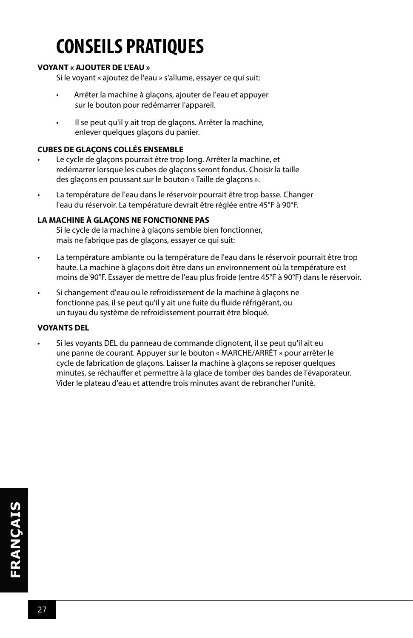### **CONSEILS PRATIQUES**

#### **VOYANT « AJOUTER DE L'EAU »**

Si le voyant « ajoutez de l'eau » s'allume, essayer ce qui suit:

- Arrêter la machine à glaçons, ajouter de l'eau et appuyer sur le bouton pour redémarrer l'appareil.
- Il se peut qu'il y ait trop de glaçons. Arrêter la machine, enlever quelques glaçons du panier.

#### **CUBES DE GLAÇONS COLLÉS ENSEMBLE**

- Le cycle de glaçons pourrait être trop long. Arrêter la machine, et redémarrer lorsque les cubes de glaçons seront fondus. Choisir la taille des glaçons en poussant sur le bouton « Taille de glaçons ».
- La température de l'eau dans le réservoir pourrait être trop basse. Changer l'eau du réservoir. La température devrait être réglée entre 45°F à 90°F.

#### **LA MACHINE À GLAÇONS NE FONCTIONNE PAS**

Si le cycle de la machine à glaçons semble bien fonctionner, mais ne fabrique pas de glaçons, essayer ce qui suit:

- La température ambiante ou la température de l'eau dans le réservoir pourrait être trop haute. La machine à glaçons doit être dans un environnement où la température est moins de 90°F. Essayer de mettre de l'eau plus froide (entre 45°F à 90°F) dans le réservoir.
- Si changement d'eau ou le refroidissement de la machine à glaçons ne fonctionne pas, il se peut qu'il y ait une fuite du fluide réfrigérant, ou un tuyau du système de refroidissement pourrait être bloqué.

#### **VOYANTS DEL**

• Si les voyants DEL du panneau de commande clignotent, il se peut qu'il ait eu une panne de courant. Appuyer sur le bouton « MARCHE/ARRÊT » pour arrêter le cycle de fabrication de glaçons. Laisser la machine à glaçons se reposer quelques minutes, se réchauffer et permettre à la glace de tomber des bandes de l'évaporateur. Vider le plateau d'eau et attendre trois minutes avant de rebrancher l'unité.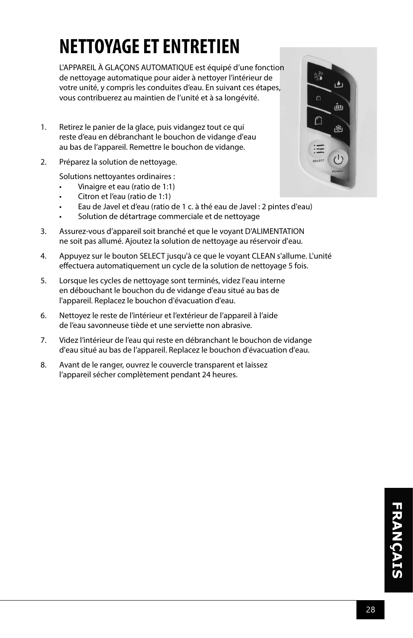### **NETTOYAGE ET ENTRETIEN**

L'APPAREIL À GLAÇONS AUTOMATIQUE est équipé d'une fonction de nettoyage automatique pour aider à nettoyer l'intérieur de votre unité, y compris les conduites d'eau. En suivant ces étapes, vous contribuerez au maintien de l'unité et à sa longévité.

- 1. Retirez le panier de la glace, puis vidangez tout ce qui reste d'eau en débranchant le bouchon de vidange d'eau au bas de l'appareil. Remettre le bouchon de vidange.
- 2. Préparez la solution de nettoyage.

Solutions nettoyantes ordinaires :

- Vinaigre et eau (ratio de 1:1)
- Citron et l'eau (ratio de 1:1)
- Eau de Javel et d'eau (ratio de 1 c. à thé eau de Javel : 2 pintes d'eau)
- Solution de détartrage commerciale et de nettoyage
- 3. Assurez-vous d'appareil soit branché et que le voyant D'ALIMENTATION ne soit pas allumé. Ajoutez la solution de nettoyage au réservoir d'eau.
- 4. Appuyez sur le bouton SELECT jusqu'à ce que le voyant CLEAN s'allume. L'unité effectuera automatiquement un cycle de la solution de nettoyage 5 fois.
- 5. Lorsque les cycles de nettoyage sont terminés, videz l'eau interne en débouchant le bouchon du de vidange d'eau situé au bas de l'appareil. Replacez le bouchon d'évacuation d'eau.
- 6. Nettoyez le reste de l'intérieur et l'extérieur de l'appareil à l'aide de l'eau savonneuse tiède et une serviette non abrasive.
- 7. Videz l'intérieur de l'eau qui reste en débranchant le bouchon de vidange d'eau situé au bas de l'appareil. Replacez le bouchon d'évacuation d'eau.
- 8. Avant de le ranger, ouvrez le couvercle transparent et laissez l'appareil sécher complètement pendant 24 heures.

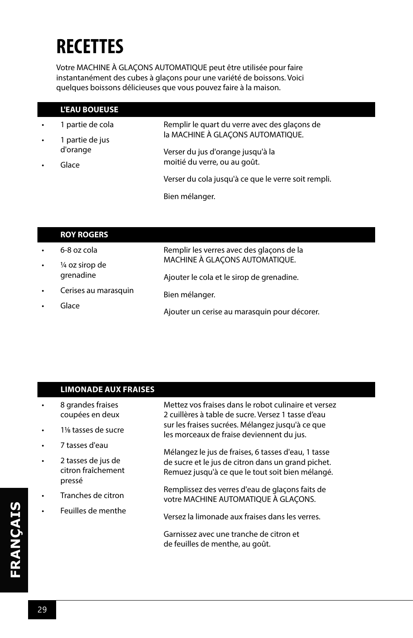### **RECETTES**

I

Votre MACHINE À GLAÇONS AUTOMATIQUE peut être utilisée pour faire instantanément des cubes à glaçons pour une variété de boissons. Voici quelques boissons délicieuses que vous pouvez faire à la maison.

|                    | <b>L'EAU BOUEUSE</b>                                                                                  |                                                     |
|--------------------|-------------------------------------------------------------------------------------------------------|-----------------------------------------------------|
| $\bullet$          | 1 partie de cola                                                                                      | Remplir le quart du verre avec des glaçons de       |
| $\bullet$          | la MACHINE À GLAÇONS AUTOMATIQUE.<br>1 partie de jus<br>d'orange<br>Verser du jus d'orange jusqu'à la |                                                     |
| Glace<br>$\bullet$ |                                                                                                       |                                                     |
|                    | moitié du verre, ou au goût.                                                                          |                                                     |
|                    |                                                                                                       | Verser du cola jusqu'à ce que le verre soit rempli. |
|                    |                                                                                                       | Bien mélanger.                                      |

|  | <b>ROY ROGERS</b> |  |  |  |
|--|-------------------|--|--|--|
|  |                   |  |  |  |

|           | 6-8 oz cola          | Remplir les verres avec des glaçons de la    |
|-----------|----------------------|----------------------------------------------|
| $\bullet$ | 1/4 oz sirop de      | MACHINE À GLAÇONS AUTOMATIQUE.               |
|           | grenadine            | Ajouter le cola et le sirop de grenadine.    |
| $\bullet$ | Cerises au marasquin | Bien mélanger.                               |
|           | Glace                |                                              |
|           |                      | Ajouter un cerise au marasquin pour décorer. |

|   | <b>LIMONADE AUX FRAISES</b>                        |                                                                                                            |
|---|----------------------------------------------------|------------------------------------------------------------------------------------------------------------|
|   | 8 grandes fraises<br>coupées en deux               | Mettez vos fraises dans le robot culinaire et versez<br>2 cuillères à table de sucre. Versez 1 tasse d'eau |
|   | 11/8 tasses de sucre                               | sur les fraises sucrées. Mélangez jusqu'à ce que<br>les morceaux de fraise deviennent du jus.              |
|   | 7 tasses d'eau                                     | Mélangez le jus de fraises, 6 tasses d'eau, 1 tasse                                                        |
| ٠ | 2 tasses de jus de<br>citron fraîchement<br>pressé | de sucre et le jus de citron dans un grand pichet.<br>Remuez jusqu'à ce que le tout soit bien mélangé.     |
|   | Tranches de citron                                 | Remplissez des verres d'eau de glaçons faits de<br>votre MACHINE AUTOMATIQUE À GLACONS.                    |
|   | Feuilles de menthe                                 | Versez la limonade aux fraises dans les verres.                                                            |
|   |                                                    | Garnissez avec une tranche de citron et<br>de feuilles de menthe, au goût.                                 |
|   |                                                    |                                                                                                            |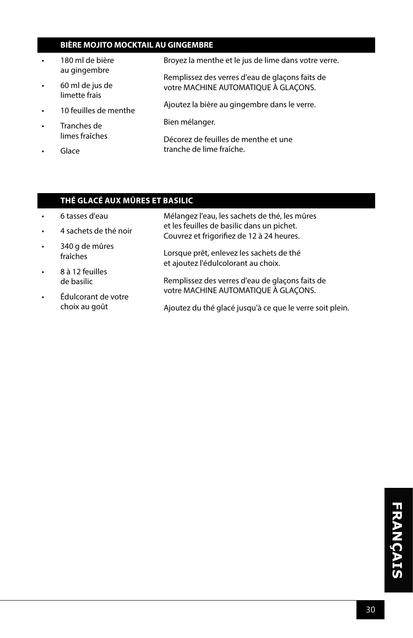#### **BIÈRE MOJITO MOCKTAIL AU GINGEMBRE**

- 180 ml de bière au gingembre
- 60 ml de jus de limette frais
- 10 feuilles de menthe
- Tranches de limes fraîches
- Glace

Broyez la menthe et le jus de lime dans votre verre.

Remplissez des verres d'eau de glaçons faits de votre MACHINE AUTOMATIQUE À GLAÇONS.

Ajoutez la bière au gingembre dans le verre.

Bien mélanger.

Décorez de feuilles de menthe et une tranche de lime fraîche.

#### **THÉ GLACÉ AUX MÛRES ET BASILIC**

- 6 tasses d'eau
- 4 sachets de thé noir
- 340 g de mûres fraîches
- 8 à 12 feuilles de basilic
- Édulcorant de votre choix au goût
- Mélangez l'eau, les sachets de thé, les mûres et les feuilles de basilic dans un pichet. Couvrez et frigorifiez de 12 à 24 heures.
- Lorsque prêt, enlevez les sachets de thé et ajoutez l'édulcolorant au choix.
- Remplissez des verres d'eau de glaçons faits de votre MACHINE AUTOMATIQUE À GLAÇONS.
	- Ajoutez du thé glacé jusqu'à ce que le verre soit plein.